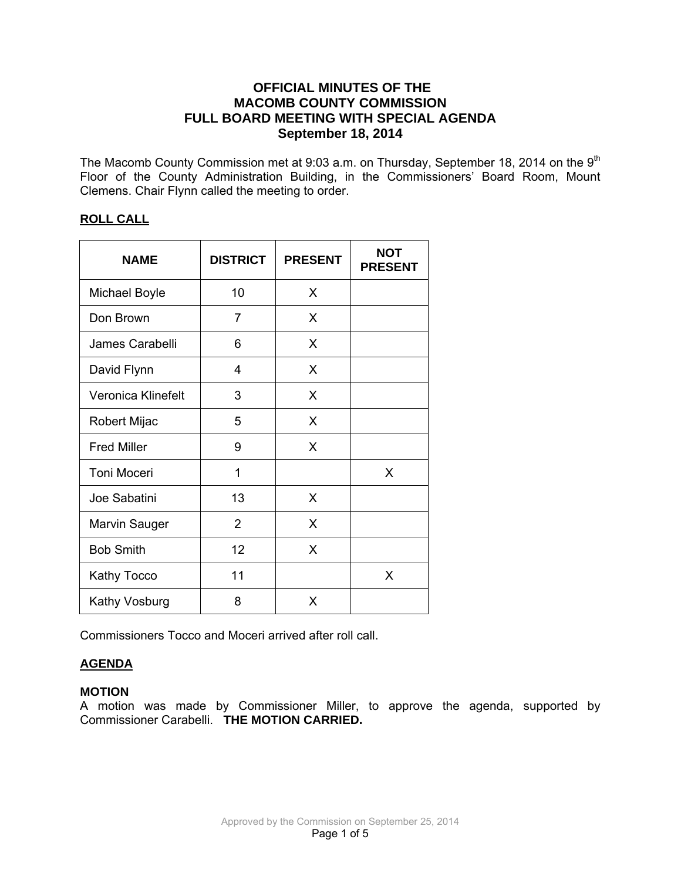# **OFFICIAL MINUTES OF THE MACOMB COUNTY COMMISSION FULL BOARD MEETING WITH SPECIAL AGENDA September 18, 2014**

The Macomb County Commission met at 9:03 a.m. on Thursday, September 18, 2014 on the 9<sup>th</sup> Floor of the County Administration Building, in the Commissioners' Board Room, Mount Clemens. Chair Flynn called the meeting to order.

## **ROLL CALL**

| <b>NAME</b>          | <b>DISTRICT</b> | <b>PRESENT</b> | <b>NOT</b><br><b>PRESENT</b> |
|----------------------|-----------------|----------------|------------------------------|
| Michael Boyle        | 10              | X              |                              |
| Don Brown            | 7               | X              |                              |
| James Carabelli      | 6               | X              |                              |
| David Flynn          | 4               | X              |                              |
| Veronica Klinefelt   | 3               | X              |                              |
| Robert Mijac         | 5               | X              |                              |
| <b>Fred Miller</b>   | 9               | X              |                              |
| <b>Toni Moceri</b>   | 1               |                | X                            |
| Joe Sabatini         | 13              | X              |                              |
| <b>Marvin Sauger</b> | $\overline{2}$  | X              |                              |
| <b>Bob Smith</b>     | 12              | X              |                              |
| <b>Kathy Tocco</b>   | 11              |                | X                            |
| Kathy Vosburg        | 8               | X              |                              |

Commissioners Tocco and Moceri arrived after roll call.

# **AGENDA**

# **MOTION**

A motion was made by Commissioner Miller, to approve the agenda, supported by Commissioner Carabelli. **THE MOTION CARRIED.**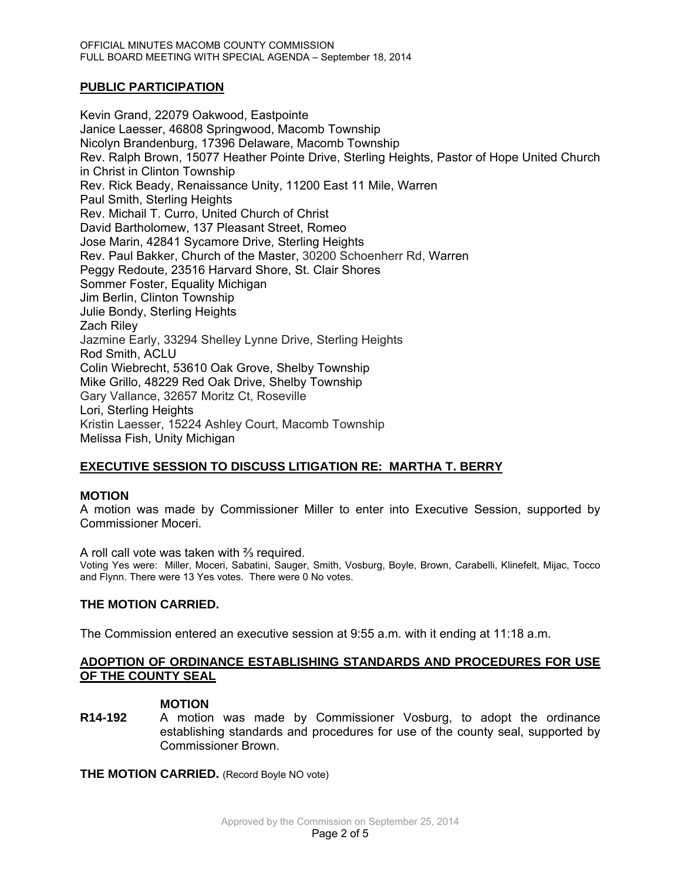## **PUBLIC PARTICIPATION**

Kevin Grand, 22079 Oakwood, Eastpointe Janice Laesser, 46808 Springwood, Macomb Township Nicolyn Brandenburg, 17396 Delaware, Macomb Township Rev. Ralph Brown, 15077 Heather Pointe Drive, Sterling Heights, Pastor of Hope United Church in Christ in Clinton Township Rev. Rick Beady, Renaissance Unity, 11200 East 11 Mile, Warren Paul Smith, Sterling Heights Rev. Michail T. Curro, United Church of Christ David Bartholomew, 137 Pleasant Street, Romeo Jose Marin, 42841 Sycamore Drive, Sterling Heights Rev. Paul Bakker, Church of the Master, 30200 Schoenherr Rd, Warren Peggy Redoute, 23516 Harvard Shore, St. Clair Shores Sommer Foster, Equality Michigan Jim Berlin, Clinton Township Julie Bondy, Sterling Heights Zach Riley Jazmine Early, 33294 Shelley Lynne Drive, Sterling Heights Rod Smith, ACLU Colin Wiebrecht, 53610 Oak Grove, Shelby Township Mike Grillo, 48229 Red Oak Drive, Shelby Township Gary Vallance, 32657 Moritz Ct, Roseville Lori, Sterling Heights Kristin Laesser, 15224 Ashley Court, Macomb Township Melissa Fish, Unity Michigan

## **EXECUTIVE SESSION TO DISCUSS LITIGATION RE: MARTHA T. BERRY**

## **MOTION**

A motion was made by Commissioner Miller to enter into Executive Session, supported by Commissioner Moceri.

A roll call vote was taken with ⅔ required.

Voting Yes were: Miller, Moceri, Sabatini, Sauger, Smith, Vosburg, Boyle, Brown, Carabelli, Klinefelt, Mijac, Tocco and Flynn. There were 13 Yes votes. There were 0 No votes.

## **THE MOTION CARRIED.**

The Commission entered an executive session at 9:55 a.m. with it ending at 11:18 a.m.

## **ADOPTION OF ORDINANCE ESTABLISHING STANDARDS AND PROCEDURES FOR USE OF THE COUNTY SEAL**

#### **MOTION**

**R14-192** A motion was made by Commissioner Vosburg, to adopt the ordinance establishing standards and procedures for use of the county seal, supported by Commissioner Brown.

**THE MOTION CARRIED.** (Record Boyle NO vote)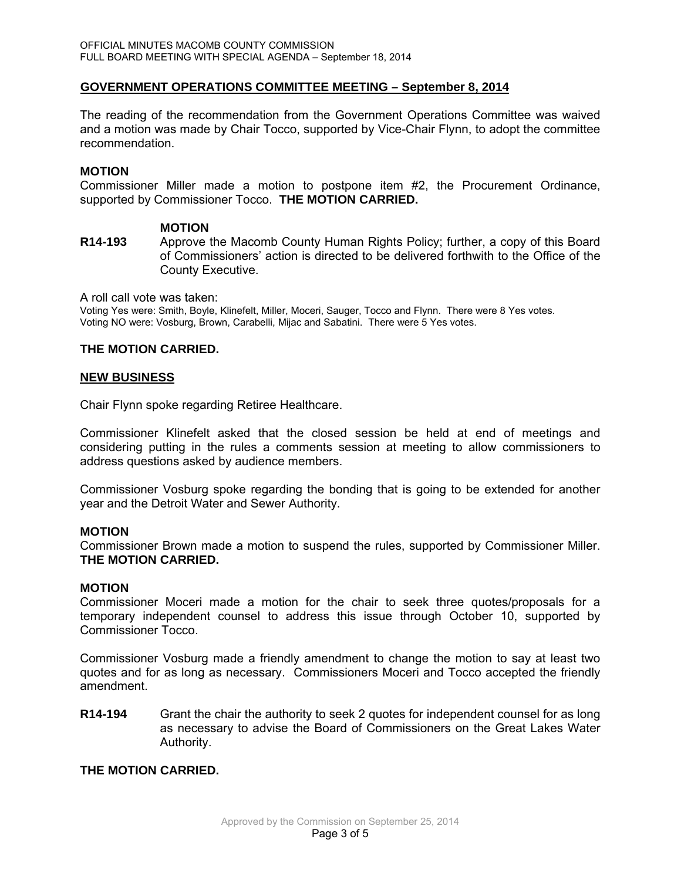## **GOVERNMENT OPERATIONS COMMITTEE MEETING – September 8, 2014**

The reading of the recommendation from the Government Operations Committee was waived and a motion was made by Chair Tocco, supported by Vice-Chair Flynn, to adopt the committee recommendation.

## **MOTION**

Commissioner Miller made a motion to postpone item #2, the Procurement Ordinance, supported by Commissioner Tocco. **THE MOTION CARRIED.** 

#### **MOTION**

**R14-193** Approve the Macomb County Human Rights Policy; further, a copy of this Board of Commissioners' action is directed to be delivered forthwith to the Office of the County Executive.

A roll call vote was taken:

Voting Yes were: Smith, Boyle, Klinefelt, Miller, Moceri, Sauger, Tocco and Flynn. There were 8 Yes votes. Voting NO were: Vosburg, Brown, Carabelli, Mijac and Sabatini. There were 5 Yes votes.

#### **THE MOTION CARRIED.**

#### **NEW BUSINESS**

Chair Flynn spoke regarding Retiree Healthcare.

Commissioner Klinefelt asked that the closed session be held at end of meetings and considering putting in the rules a comments session at meeting to allow commissioners to address questions asked by audience members.

Commissioner Vosburg spoke regarding the bonding that is going to be extended for another year and the Detroit Water and Sewer Authority.

## **MOTION**

Commissioner Brown made a motion to suspend the rules, supported by Commissioner Miller. **THE MOTION CARRIED.** 

#### **MOTION**

Commissioner Moceri made a motion for the chair to seek three quotes/proposals for a temporary independent counsel to address this issue through October 10, supported by Commissioner Tocco.

Commissioner Vosburg made a friendly amendment to change the motion to say at least two quotes and for as long as necessary. Commissioners Moceri and Tocco accepted the friendly amendment.

**R14-194** Grant the chair the authority to seek 2 quotes for independent counsel for as long as necessary to advise the Board of Commissioners on the Great Lakes Water Authority.

## **THE MOTION CARRIED.**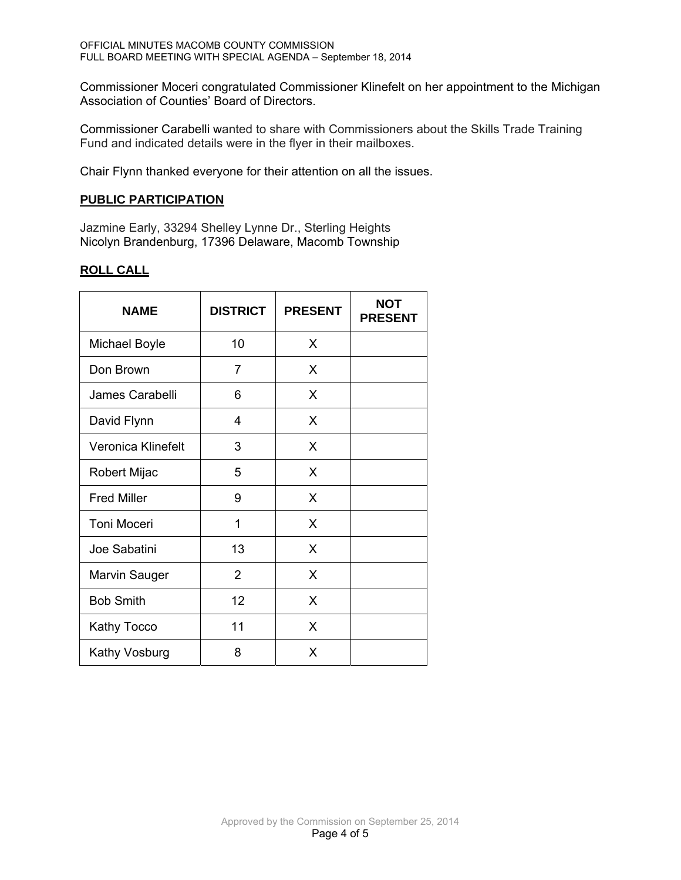Commissioner Moceri congratulated Commissioner Klinefelt on her appointment to the Michigan Association of Counties' Board of Directors.

Commissioner Carabelli wanted to share with Commissioners about the Skills Trade Training Fund and indicated details were in the flyer in their mailboxes.

Chair Flynn thanked everyone for their attention on all the issues.

## **PUBLIC PARTICIPATION**

Jazmine Early, 33294 Shelley Lynne Dr., Sterling Heights Nicolyn Brandenburg, 17396 Delaware, Macomb Township

# **ROLL CALL**

| <b>NAME</b>        | <b>DISTRICT</b> | <b>PRESENT</b> | <b>NOT</b><br><b>PRESENT</b> |
|--------------------|-----------------|----------------|------------------------------|
| Michael Boyle      | 10              | X              |                              |
| Don Brown          | $\overline{7}$  | X              |                              |
| James Carabelli    | 6               | X              |                              |
| David Flynn        | 4               | X              |                              |
| Veronica Klinefelt | 3               | X              |                              |
| Robert Mijac       | 5               | X              |                              |
| <b>Fred Miller</b> | 9               | X              |                              |
| <b>Toni Moceri</b> | 1               | X              |                              |
| Joe Sabatini       | 13              | X              |                              |
| Marvin Sauger      | $\overline{2}$  | X              |                              |
| <b>Bob Smith</b>   | 12              | X              |                              |
| <b>Kathy Tocco</b> | 11              | X              |                              |
| Kathy Vosburg      | 8               | X              |                              |